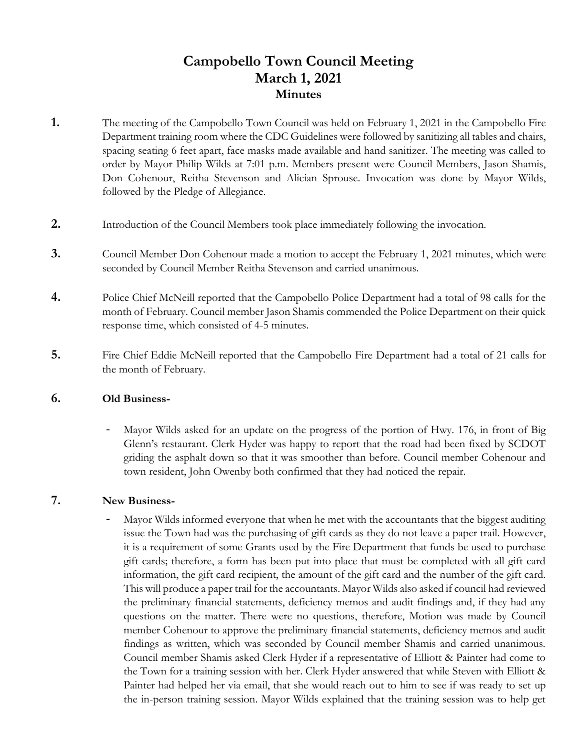# **Campobello Town Council Meeting March 1, 2021 Minutes**

- **1.** The meeting of the Campobello Town Council was held on February 1, 2021 in the Campobello Fire Department training room where the CDC Guidelines were followed by sanitizing all tables and chairs, spacing seating 6 feet apart, face masks made available and hand sanitizer. The meeting was called to order by Mayor Philip Wilds at 7:01 p.m. Members present were Council Members, Jason Shamis, Don Cohenour, Reitha Stevenson and Alician Sprouse. Invocation was done by Mayor Wilds, followed by the Pledge of Allegiance.
- **2.** Introduction of the Council Members took place immediately following the invocation.
- **3.** Council Member Don Cohenour made a motion to accept the February 1, 2021 minutes, which were seconded by Council Member Reitha Stevenson and carried unanimous.
- **4.** Police Chief McNeill reported that the Campobello Police Department had a total of 98 calls for the month of February. Council member Jason Shamis commended the Police Department on their quick response time, which consisted of 4-5 minutes.
- **5.** Fire Chief Eddie McNeill reported that the Campobello Fire Department had a total of 21 calls for the month of February.

### **6. Old Business-**

Mayor Wilds asked for an update on the progress of the portion of Hwy. 176, in front of Big Glenn's restaurant. Clerk Hyder was happy to report that the road had been fixed by SCDOT griding the asphalt down so that it was smoother than before. Council member Cohenour and town resident, John Owenby both confirmed that they had noticed the repair.

## **7. New Business-**

Mayor Wilds informed everyone that when he met with the accountants that the biggest auditing issue the Town had was the purchasing of gift cards as they do not leave a paper trail. However, it is a requirement of some Grants used by the Fire Department that funds be used to purchase gift cards; therefore, a form has been put into place that must be completed with all gift card information, the gift card recipient, the amount of the gift card and the number of the gift card. This will produce a paper trail for the accountants. Mayor Wilds also asked if council had reviewed the preliminary financial statements, deficiency memos and audit findings and, if they had any questions on the matter. There were no questions, therefore, Motion was made by Council member Cohenour to approve the preliminary financial statements, deficiency memos and audit findings as written, which was seconded by Council member Shamis and carried unanimous. Council member Shamis asked Clerk Hyder if a representative of Elliott & Painter had come to the Town for a training session with her. Clerk Hyder answered that while Steven with Elliott & Painter had helped her via email, that she would reach out to him to see if was ready to set up the in-person training session. Mayor Wilds explained that the training session was to help get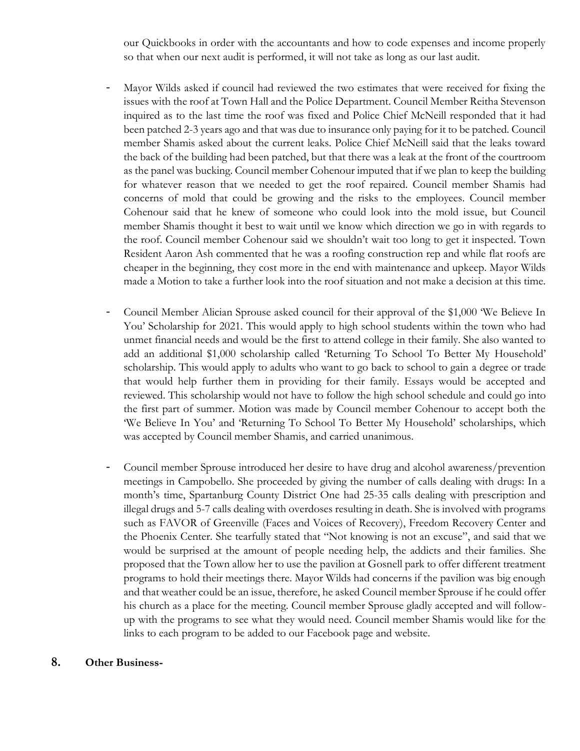our Quickbooks in order with the accountants and how to code expenses and income properly so that when our next audit is performed, it will not take as long as our last audit.

- Mayor Wilds asked if council had reviewed the two estimates that were received for fixing the issues with the roof at Town Hall and the Police Department. Council Member Reitha Stevenson inquired as to the last time the roof was fixed and Police Chief McNeill responded that it had been patched 2-3 years ago and that was due to insurance only paying for it to be patched. Council member Shamis asked about the current leaks. Police Chief McNeill said that the leaks toward the back of the building had been patched, but that there was a leak at the front of the courtroom as the panel was bucking. Council member Cohenour imputed that if we plan to keep the building for whatever reason that we needed to get the roof repaired. Council member Shamis had concerns of mold that could be growing and the risks to the employees. Council member Cohenour said that he knew of someone who could look into the mold issue, but Council member Shamis thought it best to wait until we know which direction we go in with regards to the roof. Council member Cohenour said we shouldn't wait too long to get it inspected. Town Resident Aaron Ash commented that he was a roofing construction rep and while flat roofs are cheaper in the beginning, they cost more in the end with maintenance and upkeep. Mayor Wilds made a Motion to take a further look into the roof situation and not make a decision at this time.
- Council Member Alician Sprouse asked council for their approval of the \$1,000 'We Believe In You' Scholarship for 2021. This would apply to high school students within the town who had unmet financial needs and would be the first to attend college in their family. She also wanted to add an additional \$1,000 scholarship called 'Returning To School To Better My Household' scholarship. This would apply to adults who want to go back to school to gain a degree or trade that would help further them in providing for their family. Essays would be accepted and reviewed. This scholarship would not have to follow the high school schedule and could go into the first part of summer. Motion was made by Council member Cohenour to accept both the 'We Believe In You' and 'Returning To School To Better My Household' scholarships, which was accepted by Council member Shamis, and carried unanimous.
- Council member Sprouse introduced her desire to have drug and alcohol awareness/prevention meetings in Campobello. She proceeded by giving the number of calls dealing with drugs: In a month's time, Spartanburg County District One had 25-35 calls dealing with prescription and illegal drugs and 5-7 calls dealing with overdoses resulting in death. She is involved with programs such as FAVOR of Greenville (Faces and Voices of Recovery), Freedom Recovery Center and the Phoenix Center. She tearfully stated that "Not knowing is not an excuse", and said that we would be surprised at the amount of people needing help, the addicts and their families. She proposed that the Town allow her to use the pavilion at Gosnell park to offer different treatment programs to hold their meetings there. Mayor Wilds had concerns if the pavilion was big enough and that weather could be an issue, therefore, he asked Council member Sprouse if he could offer his church as a place for the meeting. Council member Sprouse gladly accepted and will followup with the programs to see what they would need. Council member Shamis would like for the links to each program to be added to our Facebook page and website.

## **8. Other Business-**